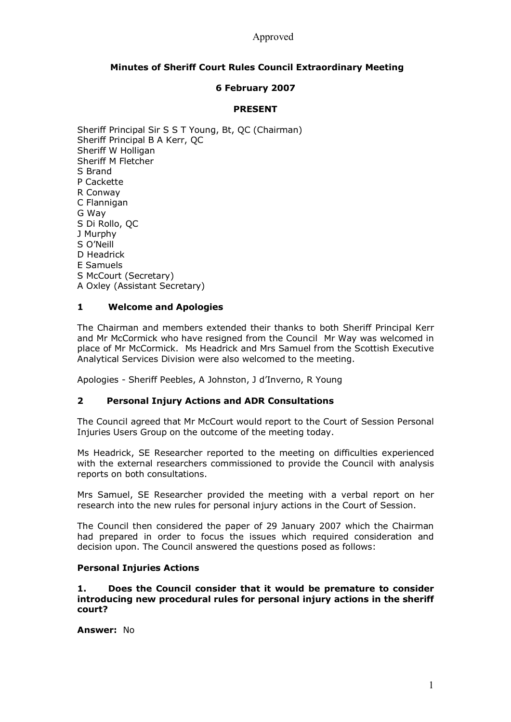## Approved

# **Minutes of Sheriff Court Rules Council Extraordinary Meeting**

## **6 February 2007**

### **PRESENT**

Sheriff Principal Sir S S T Young, Bt, QC (Chairman) Sheriff Principal B A Kerr, QC Sheriff W Holligan Sheriff M Fletcher S Brand P Cackette R Conway C Flannigan G Way S Di Rollo, QC J Murphy S O'Neill D Headrick E Samuels S McCourt (Secretary) A Oxley (Assistant Secretary)

### **1 Welcome and Apologies**

The Chairman and members extended their thanks to both Sheriff Principal Kerr and Mr McCormick who have resigned from the Council Mr Way was welcomed in place of Mr McCormick. Ms Headrick and Mrs Samuel from the Scottish Executive Analytical Services Division were also welcomed to the meeting.

Apologies Sheriff Peebles, A Johnston, J d'Inverno, R Young

#### **2 Personal Injury Actions and ADR Consultations**

The Council agreed that Mr McCourt would report to the Court of Session Personal Injuries Users Group on the outcome of the meeting today.

Ms Headrick, SE Researcher reported to the meeting on difficulties experienced with the external researchers commissioned to provide the Council with analysis reports on both consultations.

Mrs Samuel, SE Researcher provided the meeting with a verbal report on her research into the new rules for personal injury actions in the Court of Session.

The Council then considered the paper of 29 January 2007 which the Chairman had prepared in order to focus the issues which required consideration and decision upon. The Council answered the questions posed as follows:

#### **Personal Injuries Actions**

**1. Does the Council consider that it would be premature to consider introducing new procedural rules for personal injury actions in the sheriff court?** 

**Answer:** No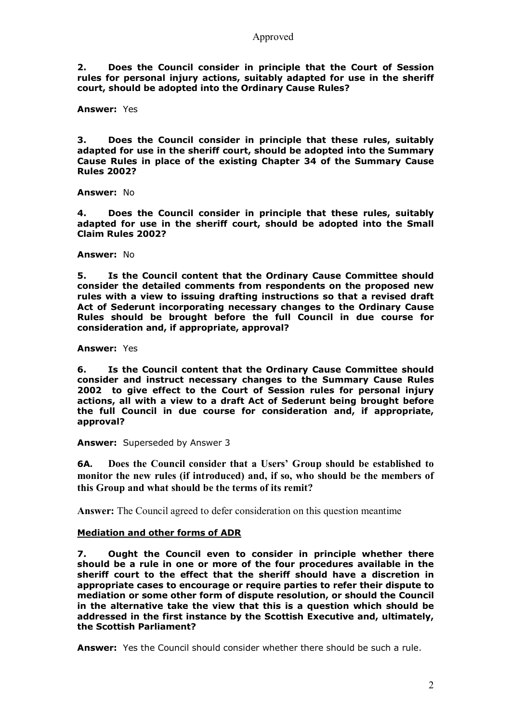**2. Does the Council consider in principle that the Court of Session rules for personal injury actions, suitably adapted for use in the sheriff court, should be adopted into the Ordinary Cause Rules?** 

**Answer:** Yes

**3. Does the Council consider in principle that these rules, suitably adapted for use in the sheriff court, should be adopted into the Summary Cause Rules in place of the existing Chapter 34 of the Summary Cause Rules 2002?** 

**Answer:** No

**4. Does the Council consider in principle that these rules, suitably adapted for use in the sheriff court, should be adopted into the Small Claim Rules 2002?** 

**Answer:** No

**5. Is the Council content that the Ordinary Cause Committee should consider the detailed comments from respondents on the proposed new rules with a view to issuing drafting instructions so that a revised draft Act of Sederunt incorporating necessary changes to the Ordinary Cause Rules should be brought before the full Council in due course for consideration and, if appropriate, approval?** 

**Answer:** Yes

**6. Is the Council content that the Ordinary Cause Committee should consider and instruct necessary changes to the Summary Cause Rules 2002 to give effect to the Court of Session rules for personal injury actions, all with a view to a draft Act of Sederunt being brought before the full Council in due course for consideration and, if appropriate, approval?** 

**Answer:** Superseded by Answer 3

**6A. Does the Council consider that a Users' Group should be established to monitor the new rules (if introduced) and, if so, who should be the members of this Group and what should be the terms of its remit?** 

**Answer:** The Council agreed to defer consideration on this question meantime

#### **Mediation and other forms of ADR**

**7. Ought the Council even to consider in principle whether there should be a rule in one or more of the four procedures available in the sheriff court to the effect that the sheriff should have a discretion in appropriate cases to encourage or require parties to refer their dispute to mediation or some other form of dispute resolution, or should the Council in the alternative take the view that this is a question which should be addressed in the first instance by the Scottish Executive and, ultimately, the Scottish Parliament?** 

**Answer:** Yes the Council should consider whether there should be such a rule.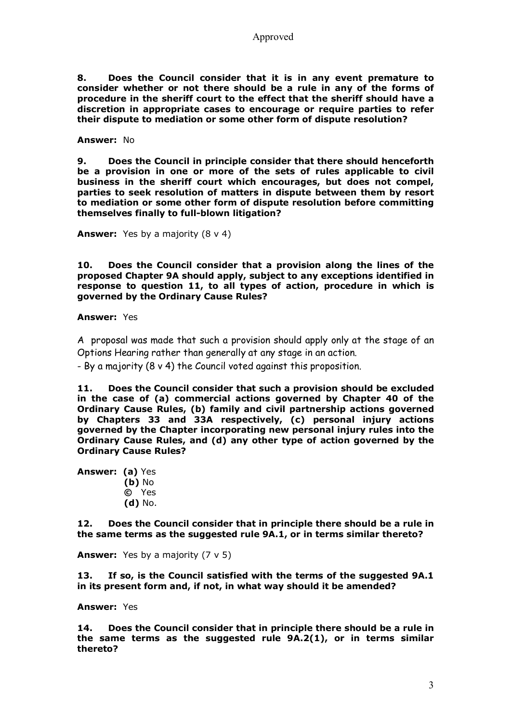**8. Does the Council consider that it is in any event premature to consider whether or not there should be a rule in any of the forms of procedure in the sheriff court to the effect that the sheriff should have a discretion in appropriate cases to encourage or require parties to refer their dispute to mediation or some other form of dispute resolution?** 

**Answer:** No

**9. Does the Council in principle consider that there should henceforth be a provision in one or more of the sets of rules applicable to civil business in the sheriff court which encourages, but does not compel, parties to seek resolution of matters in dispute between them by resort to mediation or some other form of dispute resolution before committing themselves finally to full-blown litigation?** 

**Answer:** Yes by a majority (8 v 4)

**10. Does the Council consider that a provision along the lines of the proposed Chapter 9A should apply, subject to any exceptions identified in response to question 11, to all types of action, procedure in which is governed by the Ordinary Cause Rules?** 

**Answer:** Yes

A proposal was made that such a provision should apply only at the stage of an Options Hearing rather than generally at any stage in an action.

- By a majority (8 v 4) the Council voted against this proposition.

**11. Does the Council consider that such a provision should be excluded in the case of (a) commercial actions governed by Chapter 40 of the Ordinary Cause Rules, (b) family and civil partnership actions governed by Chapters 33 and 33A respectively, (c) personal injury actions governed by the Chapter incorporating new personal injury rules into the Ordinary Cause Rules, and (d) any other type of action governed by the Ordinary Cause Rules?** 

**Answer: (a)** Yes **(b)** No **©** Yes **(d)** No.

**12. Does the Council consider that in principle there should be a rule in the same terms as the suggested rule 9A.1, or in terms similar thereto?** 

**Answer:** Yes by a majority (7 v 5)

**13. If so, is the Council satisfied with the terms of the suggested 9A.1 in its present form and, if not, in what way should it be amended?** 

**Answer:** Yes

**14. Does the Council consider that in principle there should be a rule in the same terms as the suggested rule 9A.2(1), or in terms similar thereto?**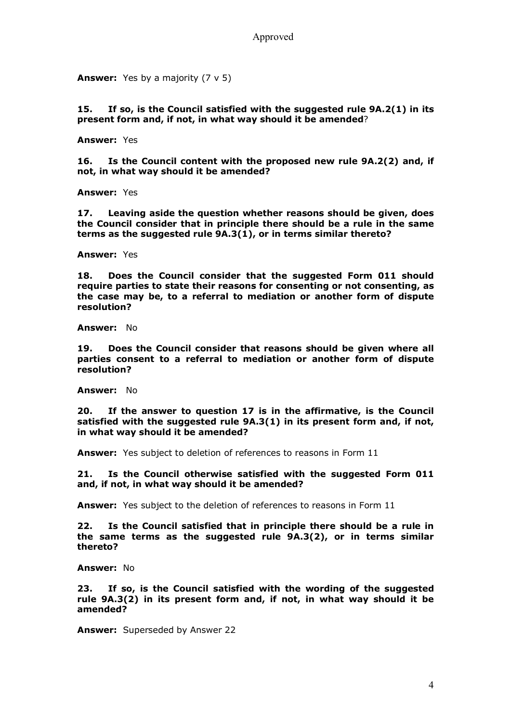**Answer:** Yes by a majority (7 v 5)

**15. If so, is the Council satisfied with the suggested rule 9A.2(1) in its present form and, if not, in what way should it be amended**?

**Answer:** Yes

**16. Is the Council content with the proposed new rule 9A.2(2) and, if not, in what way should it be amended?** 

**Answer:** Yes

**17. Leaving aside the question whether reasons should be given, does the Council consider that in principle there should be a rule in the same terms as the suggested rule 9A.3(1), or in terms similar thereto?** 

**Answer:** Yes

**18. Does the Council consider that the suggested Form 011 should require parties to state their reasons for consenting or not consenting, as the case may be, to a referral to mediation or another form of dispute resolution?**

**Answer:** No

**19. Does the Council consider that reasons should be given where all parties consent to a referral to mediation or another form of dispute resolution?**

**Answer:** No

**20. If the answer to question 17 is in the affirmative, is the Council satisfied with the suggested rule 9A.3(1) in its present form and, if not, in what way should it be amended?** 

**Answer:** Yes subject to deletion of references to reasons in Form 11

**21. Is the Council otherwise satisfied with the suggested Form 011 and, if not, in what way should it be amended?** 

**Answer:** Yes subject to the deletion of references to reasons in Form 11

**22. Is the Council satisfied that in principle there should be a rule in the same terms as the suggested rule 9A.3(2), or in terms similar thereto?** 

**Answer:** No

**23. If so, is the Council satisfied with the wording of the suggested rule 9A.3(2) in its present form and, if not, in what way should it be amended?** 

**Answer:** Superseded by Answer 22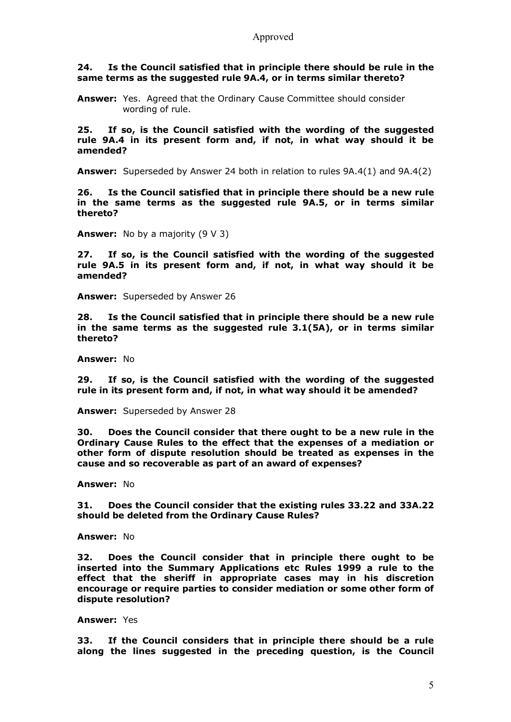#### **24. Is the Council satisfied that in principle there should be rule in the same terms as the suggested rule 9A.4, or in terms similar thereto?**

**Answer:** Yes. Agreed that the Ordinary Cause Committee should consider wording of rule.

**25. If so, is the Council satisfied with the wording of the suggested rule 9A.4 in its present form and, if not, in what way should it be amended?** 

**Answer:** Superseded by Answer 24 both in relation to rules 9A.4(1) and 9A.4(2)

**26. Is the Council satisfied that in principle there should be a new rule in the same terms as the suggested rule 9A.5, or in terms similar thereto?** 

**Answer:** No by a majority (9 V 3)

**27. If so, is the Council satisfied with the wording of the suggested rule 9A.5 in its present form and, if not, in what way should it be amended?** 

**Answer:** Superseded by Answer 26

**28. Is the Council satisfied that in principle there should be a new rule in the same terms as the suggested rule 3.1(5A), or in terms similar thereto?** 

**Answer:** No

**29. If so, is the Council satisfied with the wording of the suggested rule in its present form and, if not, in what way should it be amended?** 

**Answer:** Superseded by Answer 28

**30. Does the Council consider that there ought to be a new rule in the Ordinary Cause Rules to the effect that the expenses of a mediation or other form of dispute resolution should be treated as expenses in the cause and so recoverable as part of an award of expenses?** 

**Answer:** No

**31. Does the Council consider that the existing rules 33.22 and 33A.22 should be deleted from the Ordinary Cause Rules?** 

**Answer:** No

**32. Does the Council consider that in principle there ought to be inserted into the Summary Applications etc Rules 1999 a rule to the effect that the sheriff in appropriate cases may in his discretion encourage or require parties to consider mediation or some other form of dispute resolution?**

**Answer:** Yes

**33. If the Council considers that in principle there should be a rule along the lines suggested in the preceding question, is the Council**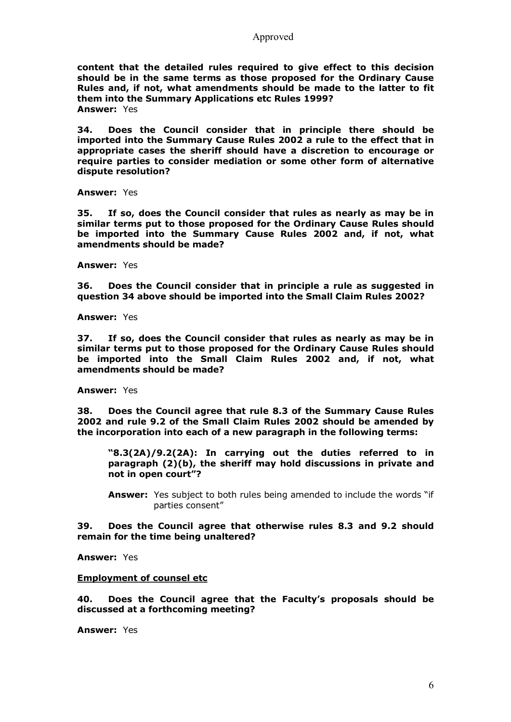Approved

**content that the detailed rules required to give effect to this decision should be in the same terms as those proposed for the Ordinary Cause Rules and, if not, what amendments should be made to the latter to fit them into the Summary Applications etc Rules 1999? Answer:** Yes

**34. Does the Council consider that in principle there should be imported into the Summary Cause Rules 2002 a rule to the effect that in appropriate cases the sheriff should have a discretion to encourage or require parties to consider mediation or some other form of alternative dispute resolution?**

**Answer:** Yes

**35. If so, does the Council consider that rules as nearly as may be in similar terms put to those proposed for the Ordinary Cause Rules should be imported into the Summary Cause Rules 2002 and, if not, what amendments should be made?** 

**Answer:** Yes

**36. Does the Council consider that in principle a rule as suggested in question 34 above should be imported into the Small Claim Rules 2002?** 

**Answer:** Yes

**37. If so, does the Council consider that rules as nearly as may be in similar terms put to those proposed for the Ordinary Cause Rules should be imported into the Small Claim Rules 2002 and, if not, what amendments should be made?** 

**Answer:** Yes

**38. Does the Council agree that rule 8.3 of the Summary Cause Rules 2002 and rule 9.2 of the Small Claim Rules 2002 should be amended by the incorporation into each of a new paragraph in the following terms:** 

**"8.3(2A)/9.2(2A): In carrying out the duties referred to in paragraph (2)(b), the sheriff may hold discussions in private and not in open court"?** 

**Answer:** Yes subject to both rules being amended to include the words "if parties consent"

**39. Does the Council agree that otherwise rules 8.3 and 9.2 should remain for the time being unaltered?** 

**Answer:** Yes

#### **Employment of counsel etc**

**40. Does the Council agree that the Faculty's proposals should be discussed at a forthcoming meeting?** 

**Answer:** Yes